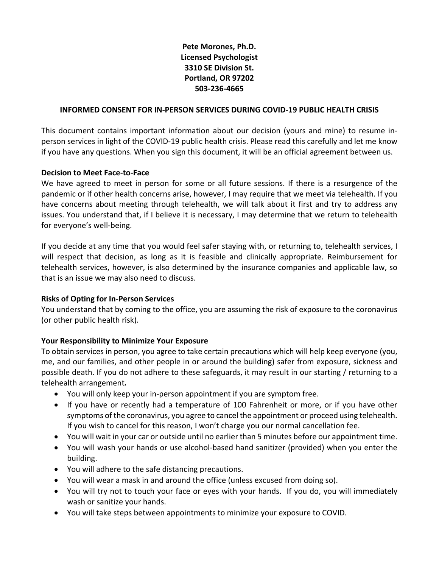## **Pete Morones, Ph.D. Licensed Psychologist 3310 SE Division St. Portland, OR 97202 503-236-4665**

#### **INFORMED CONSENT FOR IN-PERSON SERVICES DURING COVID-19 PUBLIC HEALTH CRISIS**

This document contains important information about our decision (yours and mine) to resume inperson services in light of the COVID-19 public health crisis. Please read this carefully and let me know if you have any questions. When you sign this document, it will be an official agreement between us.

#### **Decision to Meet Face-to-Face**

We have agreed to meet in person for some or all future sessions. If there is a resurgence of the pandemic or if other health concerns arise, however, I may require that we meet via telehealth. If you have concerns about meeting through telehealth, we will talk about it first and try to address any issues. You understand that, if I believe it is necessary, I may determine that we return to telehealth for everyone's well-being.

If you decide at any time that you would feel safer staying with, or returning to, telehealth services, I will respect that decision, as long as it is feasible and clinically appropriate. Reimbursement for telehealth services, however, is also determined by the insurance companies and applicable law, so that is an issue we may also need to discuss.

## **Risks of Opting for In-Person Services**

You understand that by coming to the office, you are assuming the risk of exposure to the coronavirus (or other public health risk).

## **Your Responsibility to Minimize Your Exposure**

To obtain services in person, you agree to take certain precautions which will help keep everyone (you, me, and our families, and other people in or around the building) safer from exposure, sickness and possible death. If you do not adhere to these safeguards, it may result in our starting / returning to a telehealth arrangement*.* 

- You will only keep your in-person appointment if you are symptom free.
- If you have or recently had a temperature of 100 Fahrenheit or more, or if you have other symptoms of the coronavirus, you agree to cancel the appointment or proceed using telehealth. If you wish to cancel for this reason, I won't charge you our normal cancellation fee.
- You will wait in your car or outside until no earlier than 5 minutes before our appointment time.
- You will wash your hands or use alcohol-based hand sanitizer (provided) when you enter the building.
- You will adhere to the safe distancing precautions.
- You will wear a mask in and around the office (unless excused from doing so).
- You will try not to touch your face or eyes with your hands. If you do, you will immediately wash or sanitize your hands.
- You will take steps between appointments to minimize your exposure to COVID.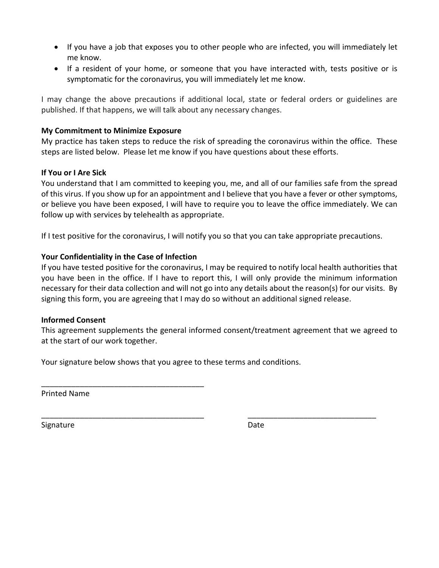- If you have a job that exposes you to other people who are infected, you will immediately let me know.
- If a resident of your home, or someone that you have interacted with, tests positive or is symptomatic for the coronavirus, you will immediately let me know.

I may change the above precautions if additional local, state or federal orders or guidelines are published. If that happens, we will talk about any necessary changes.

## **My Commitment to Minimize Exposure**

My practice has taken steps to reduce the risk of spreading the coronavirus within the office. These steps are listed below. Please let me know if you have questions about these efforts.

## **If You or I Are Sick**

You understand that I am committed to keeping you, me, and all of our families safe from the spread of this virus. If you show up for an appointment and I believe that you have a fever or other symptoms, or believe you have been exposed, I will have to require you to leave the office immediately. We can follow up with services by telehealth as appropriate.

If I test positive for the coronavirus, I will notify you so that you can take appropriate precautions.

## **Your Confidentiality in the Case of Infection**

\_\_\_\_\_\_\_\_\_\_\_\_\_\_\_\_\_\_\_\_\_\_\_\_\_\_\_\_\_\_\_\_\_\_\_\_\_\_

If you have tested positive for the coronavirus, I may be required to notify local health authorities that you have been in the office. If I have to report this, I will only provide the minimum information necessary for their data collection and will not go into any details about the reason(s) for our visits. By signing this form, you are agreeing that I may do so without an additional signed release.

## **Informed Consent**

This agreement supplements the general informed consent/treatment agreement that we agreed to at the start of our work together.

\_\_\_\_\_\_\_\_\_\_\_\_\_\_\_\_\_\_\_\_\_\_\_\_\_\_\_\_\_\_\_\_\_\_\_\_\_\_ \_\_\_\_\_\_\_\_\_\_\_\_\_\_\_\_\_\_\_\_\_\_\_\_\_\_\_\_\_\_

Your signature below shows that you agree to these terms and conditions.

Printed Name

Signature Date Date Date Date